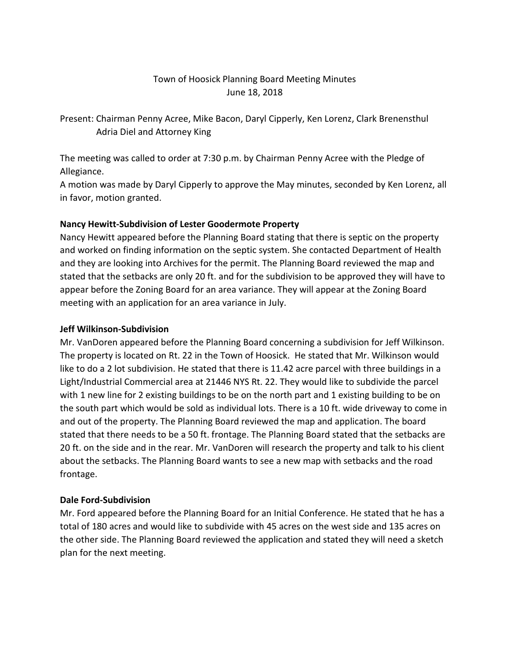## Town of Hoosick Planning Board Meeting Minutes June 18, 2018

Present: Chairman Penny Acree, Mike Bacon, Daryl Cipperly, Ken Lorenz, Clark Brenensthul Adria Diel and Attorney King

The meeting was called to order at 7:30 p.m. by Chairman Penny Acree with the Pledge of Allegiance.

A motion was made by Daryl Cipperly to approve the May minutes, seconded by Ken Lorenz, all in favor, motion granted.

### **Nancy Hewitt-Subdivision of Lester Goodermote Property**

Nancy Hewitt appeared before the Planning Board stating that there is septic on the property and worked on finding information on the septic system. She contacted Department of Health and they are looking into Archives for the permit. The Planning Board reviewed the map and stated that the setbacks are only 20 ft. and for the subdivision to be approved they will have to appear before the Zoning Board for an area variance. They will appear at the Zoning Board meeting with an application for an area variance in July.

#### **Jeff Wilkinson-Subdivision**

Mr. VanDoren appeared before the Planning Board concerning a subdivision for Jeff Wilkinson. The property is located on Rt. 22 in the Town of Hoosick. He stated that Mr. Wilkinson would like to do a 2 lot subdivision. He stated that there is 11.42 acre parcel with three buildings in a Light/Industrial Commercial area at 21446 NYS Rt. 22. They would like to subdivide the parcel with 1 new line for 2 existing buildings to be on the north part and 1 existing building to be on the south part which would be sold as individual lots. There is a 10 ft. wide driveway to come in and out of the property. The Planning Board reviewed the map and application. The board stated that there needs to be a 50 ft. frontage. The Planning Board stated that the setbacks are 20 ft. on the side and in the rear. Mr. VanDoren will research the property and talk to his client about the setbacks. The Planning Board wants to see a new map with setbacks and the road frontage.

#### **Dale Ford-Subdivision**

Mr. Ford appeared before the Planning Board for an Initial Conference. He stated that he has a total of 180 acres and would like to subdivide with 45 acres on the west side and 135 acres on the other side. The Planning Board reviewed the application and stated they will need a sketch plan for the next meeting.